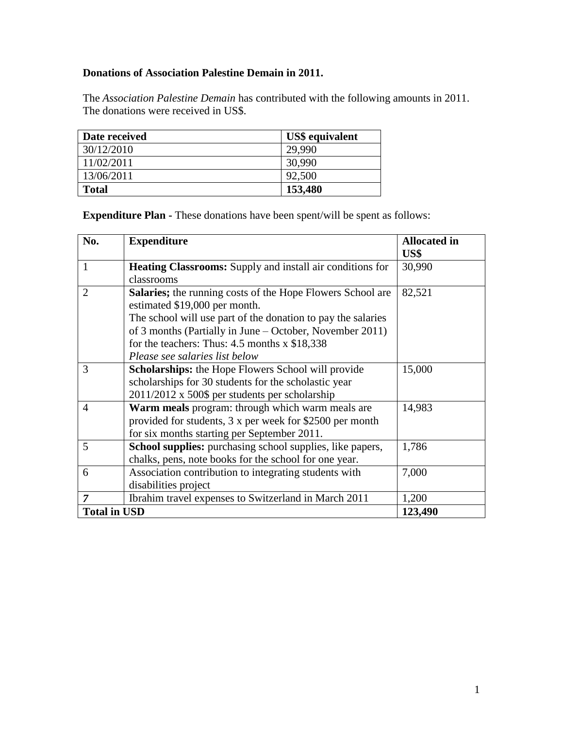## **Donations of Association Palestine Demain in 2011.**

The *Association Palestine Demain* has contributed with the following amounts in 2011. The donations were received in US\$.

| Date received | <b>US\$</b> equivalent |
|---------------|------------------------|
| 30/12/2010    | 29.990                 |
| 11/02/2011    | 30,990                 |
| 13/06/2011    | 92,500                 |
| <b>Total</b>  | 153,480                |

**Expenditure Plan -** These donations have been spent/will be spent as follows:

| No.                 | <b>Expenditure</b>                                                | <b>Allocated in</b><br>US\$ |
|---------------------|-------------------------------------------------------------------|-----------------------------|
| $\mathbf{1}$        | <b>Heating Classrooms:</b> Supply and install air conditions for  | 30,990                      |
|                     | classrooms                                                        |                             |
| $\overline{2}$      | <b>Salaries;</b> the running costs of the Hope Flowers School are | 82,521                      |
|                     | estimated \$19,000 per month.                                     |                             |
|                     | The school will use part of the donation to pay the salaries      |                             |
|                     | of 3 months (Partially in June – October, November 2011)          |                             |
|                     | for the teachers: Thus: $4.5$ months x \$18,338                   |                             |
|                     | Please see salaries list below                                    |                             |
| 3                   | Scholarships: the Hope Flowers School will provide                | 15,000                      |
|                     | scholarships for 30 students for the scholastic year              |                             |
|                     | 2011/2012 x 500\$ per students per scholarship                    |                             |
| $\overline{4}$      | Warm meals program: through which warm meals are                  | 14,983                      |
|                     | provided for students, 3 x per week for \$2500 per month          |                             |
|                     | for six months starting per September 2011.                       |                             |
| 5                   | <b>School supplies:</b> purchasing school supplies, like papers,  | 1,786                       |
|                     | chalks, pens, note books for the school for one year.             |                             |
| 6                   | Association contribution to integrating students with             | 7,000                       |
|                     | disabilities project                                              |                             |
| $\overline{7}$      | Ibrahim travel expenses to Switzerland in March 2011              | 1,200                       |
| <b>Total in USD</b> |                                                                   | 123,490                     |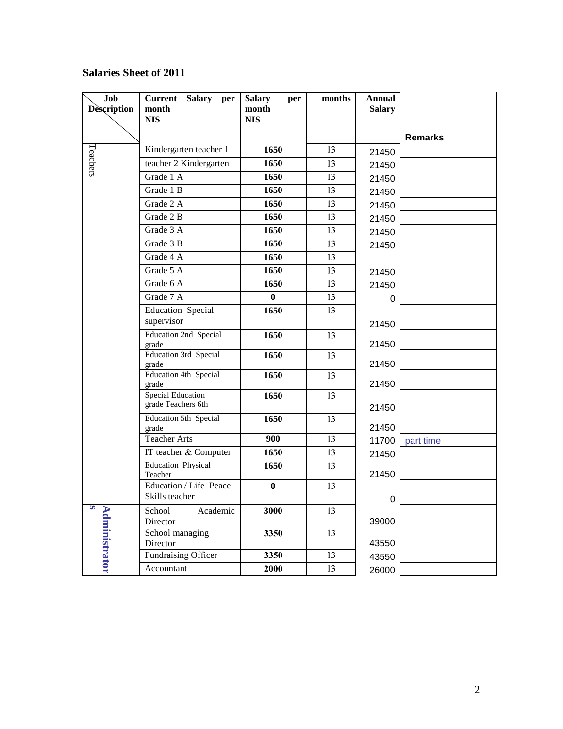## **Salaries Sheet of 2011**

| Job<br><b>Description</b> | <b>Current</b><br><b>Salary</b><br>per<br>month<br><b>NIS</b> | <b>Salary</b><br>per<br>month<br><b>NIS</b> | months | <b>Annual</b><br><b>Salary</b> |                |
|---------------------------|---------------------------------------------------------------|---------------------------------------------|--------|--------------------------------|----------------|
|                           |                                                               |                                             |        |                                | <b>Remarks</b> |
|                           | Kindergarten teacher 1                                        | 1650                                        | 13     | 21450                          |                |
| Teachers                  | teacher 2 Kindergarten                                        | 1650                                        | 13     | 21450                          |                |
|                           | Grade 1 A                                                     | 1650                                        | 13     | 21450                          |                |
|                           | Grade 1 B                                                     | 1650                                        | 13     | 21450                          |                |
|                           | Grade 2 A                                                     | 1650                                        | 13     | 21450                          |                |
|                           | Grade 2 B                                                     | 1650                                        | 13     | 21450                          |                |
|                           | Grade 3 A                                                     | 1650                                        | 13     | 21450                          |                |
|                           | Grade 3 B                                                     | 1650                                        | 13     | 21450                          |                |
|                           | Grade 4 A                                                     | 1650                                        | 13     |                                |                |
|                           | Grade 5 A                                                     | 1650                                        | 13     | 21450                          |                |
|                           | Grade 6 A                                                     | 1650                                        | 13     | 21450                          |                |
|                           | Grade 7 A                                                     | $\bf{0}$                                    | 13     | 0                              |                |
|                           | Education Special                                             | 1650                                        | 13     |                                |                |
|                           | supervisor                                                    |                                             |        | 21450                          |                |
|                           | <b>Education 2nd Special</b><br>grade                         | 1650                                        | 13     | 21450                          |                |
|                           | <b>Education 3rd Special</b><br>grade                         | 1650                                        | 13     | 21450                          |                |
|                           | Education 4th Special<br>grade                                | 1650                                        | 13     | 21450                          |                |
|                           | <b>Special Education</b><br>grade Teachers 6th                | 1650                                        | 13     | 21450                          |                |
|                           | Education 5th Special<br>grade                                | 1650                                        | 13     | 21450                          |                |
|                           | <b>Teacher Arts</b>                                           | 900                                         | 13     | 11700                          | part time      |
|                           | IT teacher & Computer                                         | 1650                                        | 13     | 21450                          |                |
|                           | <b>Education Physical</b><br>Teacher                          | 1650                                        | 13     | 21450                          |                |
|                           | Education / Life Peace<br>Skills teacher                      | $\bf{0}$                                    | 13     | $\,0\,$                        |                |
| S<br><b>Administrator</b> | Academic<br>School<br>Director                                | 3000                                        | 13     | 39000                          |                |
|                           | School managing<br>Director                                   | 3350                                        | 13     | 43550                          |                |
|                           | Fundraising Officer                                           | 3350                                        | 13     | 43550                          |                |
|                           | Accountant                                                    | 2000                                        | 13     | 26000                          |                |